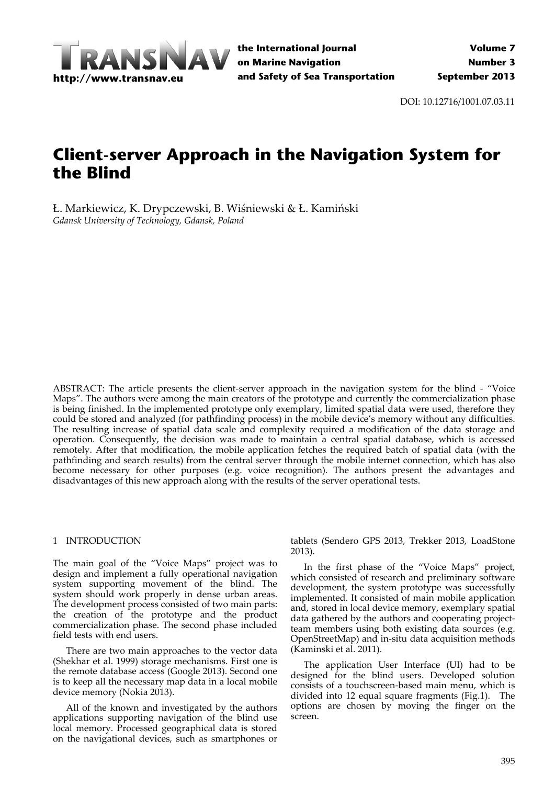

DOI: 10.12716/1001.07.03.11

# **Client-server Approach in the Navigation System for the Blind**

Ł. Markiewicz, K. Drypczewski, B. Wiśniewski & Ł. Kamiński *Gdansk University of Technology, Gdansk, Poland*

ABSTRACT: The article presents the client-server approach in the navigation system for the blind - "Voice Maps". The authors were among the main creators of the prototype and currently the commercialization phase is being finished. In the implemented prototype only exemplary, limited spatial data were used, therefore they could be stored and analyzed (for pathfinding process) in the mobile device's memory without any difficulties. The resulting increase of spatial data scale and complexity required a modification of the data storage and operation. Consequently, the decision was made to maintain a central spatial database, which is accessed remotely. After that modification, the mobile application fetches the required batch of spatial data (with the pathfinding and search results) from the central server through the mobile internet connection, which has also become necessary for other purposes (e.g. voice recognition). The authors present the advantages and disadvantages of this new approach along with the results of the server operational tests.

## 1 INTRODUCTION

The main goal of the "Voice Maps" project was to design and implement a fully operational navigation system supporting movement of the blind. The system should work properly in dense urban areas. The development process consisted of two main parts: the creation of the prototype and the product commercialization phase. The second phase included field tests with end users.

There are two main approaches to the vector data (Shekhar et al. 1999) storage mechanisms. First one is the remote database access (Google 2013). Second one is to keep all the necessary map data in a local mobile device memory (Nokia 2013).

All of the known and investigated by the authors applications supporting navigation of the blind use local memory. Processed geographical data is stored on the navigational devices, such as smartphones or

tablets (Sendero GPS 2013, Trekker 2013, LoadStone 2013).

In the first phase of the "Voice Maps" project, which consisted of research and preliminary software development, the system prototype was successfully implemented. It consisted of main mobile application and, stored in local device memory, exemplary spatial data gathered by the authors and cooperating project‐ team members using both existing data sources (e.g. OpenStreetMap) and in‐situ data acquisition methods (Kaminski et al. 2011).

The application User Interface (UI) had to be designed for the blind users. Developed solution consists of a touchscreen‐based main menu, which is divided into 12 equal square fragments (Fig.1). The options are chosen by moving the finger on the screen.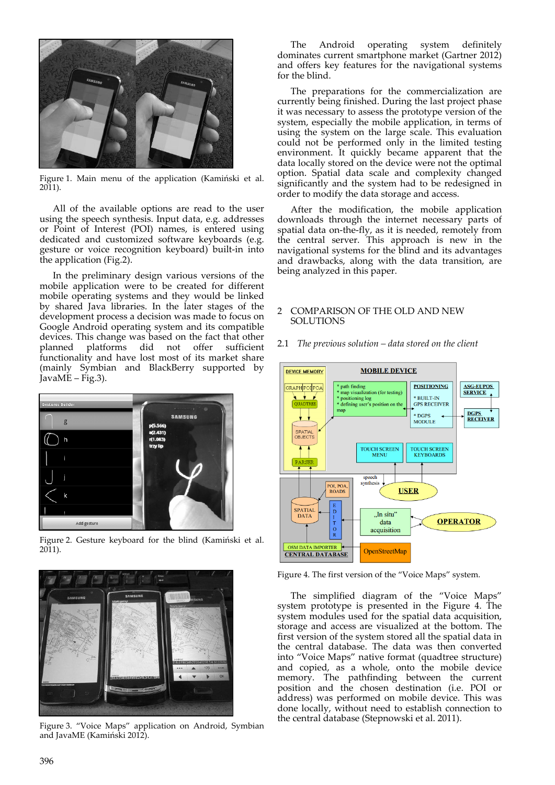

Figure 1. Main menu of the application (Kamiński et al. 2011).

All of the available options are read to the user using the speech synthesis. Input data, e.g. addresses or Point of Interest (POI) names, is entered using dedicated and customized software keyboards (e.g. gesture or voice recognition keyboard) built‐in into the application (Fig.2).

In the preliminary design various versions of the mobile application were to be created for different mobile operating systems and they would be linked by shared Java libraries. In the later stages of the development process a decision was made to focus on Google Android operating system and its compatible devices. This change was based on the fact that other planned platforms did not offer sufficient functionality and have lost most of its market share (mainly Symbian and BlackBerry supported by JavaME – Fig.3).



Figure 2. Gesture keyboard for the blind (Kamiński et al. 2011).



Figure 3. "Voice Maps" application on Android, Symbian and JavaME (Kamiński 2012).

The Android operating system definitely dominates current smartphone market (Gartner 2012) and offers key features for the navigational systems for the blind.

The preparations for the commercialization are currently being finished. During the last project phase it was necessary to assess the prototype version of the system, especially the mobile application, in terms of using the system on the large scale. This evaluation could not be performed only in the limited testing environment. It quickly became apparent that the data locally stored on the device were not the optimal option. Spatial data scale and complexity changed significantly and the system had to be redesigned in order to modify the data storage and access.

After the modification, the mobile application downloads through the internet necessary parts of spatial data on‐the‐fly, as it is needed, remotely from the central server. This approach is new in the navigational systems for the blind and its advantages and drawbacks, along with the data transition, are being analyzed in this paper.

## 2 COMPARISON OF THE OLD AND NEW SOLUTIONS



2.1 *The previous solution – data stored on the client*

Figure 4. The first version of the "Voice Maps" system.

The simplified diagram of the "Voice Maps" system prototype is presented in the Figure 4. The system modules used for the spatial data acquisition, storage and access are visualized at the bottom. The first version of the system stored all the spatial data in the central database. The data was then converted into "Voice Maps" native format (quadtree structure) and copied, as a whole, onto the mobile device memory. The pathfinding between the current position and the chosen destination (i.e. POI or address) was performed on mobile device. This was done locally, without need to establish connection to the central database (Stepnowski et al. 2011).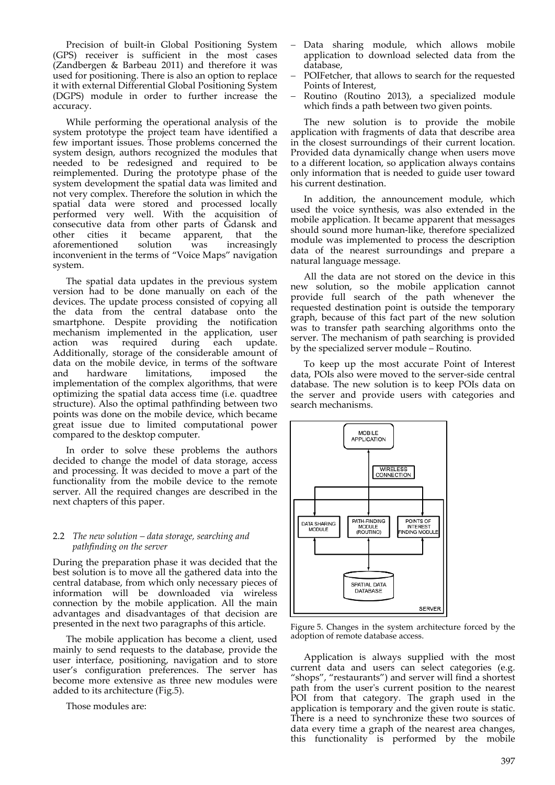Precision of built-in Global Positioning System (GPS) receiver is sufficient in the most cases (Zandbergen & Barbeau 2011) and therefore it was used for positioning. There is also an option to replace it with external Differential Global Positioning System (DGPS) module in order to further increase the accuracy.

While performing the operational analysis of the system prototype the project team have identified a few important issues. Those problems concerned the system design, authors recognized the modules that needed to be redesigned and required to be reimplemented. During the prototype phase of the system development the spatial data was limited and not very complex. Therefore the solution in which the spatial data were stored and processed locally performed very well. With the acquisition of consecutive data from other parts of Gdansk and other cities it became apparent, that the aforementioned solution was increasingly inconvenient in the terms of "Voice Maps" navigation system.

The spatial data updates in the previous system version had to be done manually on each of the devices. The update process consisted of copying all the data from the central database onto the smartphone. Despite providing the notification mechanism implemented in the application, user action was required during each update. Additionally, storage of the considerable amount of data on the mobile device, in terms of the software and hardware limitations, imposed the implementation of the complex algorithms, that were optimizing the spatial data access time (i.e. quadtree structure). Also the optimal pathfinding between two points was done on the mobile device, which became great issue due to limited computational power compared to the desktop computer.

In order to solve these problems the authors decided to change the model of data storage, access and processing. It was decided to move a part of the functionality from the mobile device to the remote server. All the required changes are described in the next chapters of this paper.

## 2.2 *The new solution – data storage, searching and pathfinding on the server*

During the preparation phase it was decided that the best solution is to move all the gathered data into the central database, from which only necessary pieces of information will be downloaded via wireless connection by the mobile application. All the main advantages and disadvantages of that decision are presented in the next two paragraphs of this article.

The mobile application has become a client, used mainly to send requests to the database, provide the user interface, positioning, navigation and to store user's configuration preferences. The server has become more extensive as three new modules were added to its architecture (Fig.5).

Those modules are:

- Data sharing module, which allows mobile application to download selected data from the database,
- POIFetcher, that allows to search for the requested Points of Interest,
- Routino (Routino 2013), a specialized module which finds a path between two given points.

The new solution is to provide the mobile application with fragments of data that describe area in the closest surroundings of their current location. Provided data dynamically change when users move to a different location, so application always contains only information that is needed to guide user toward his current destination.

In addition, the announcement module, which used the voice synthesis, was also extended in the mobile application. It became apparent that messages should sound more human‐like, therefore specialized module was implemented to process the description data of the nearest surroundings and prepare a natural language message.

All the data are not stored on the device in this new solution, so the mobile application cannot provide full search of the path whenever the requested destination point is outside the temporary graph, because of this fact part of the new solution was to transfer path searching algorithms onto the server. The mechanism of path searching is provided by the specialized server module – Routino.

To keep up the most accurate Point of Interest data, POIs also were moved to the server‐side central database. The new solution is to keep POIs data on the server and provide users with categories and search mechanisms.



Figure 5. Changes in the system architecture forced by the adoption of remote database access.

Application is always supplied with the most current data and users can select categories (e.g. "shops", "restaurants") and server will find a shortest path from the userʹs current position to the nearest POI from that category. The graph used in the application is temporary and the given route is static. There is a need to synchronize these two sources of data every time a graph of the nearest area changes, this functionality is performed by the mobile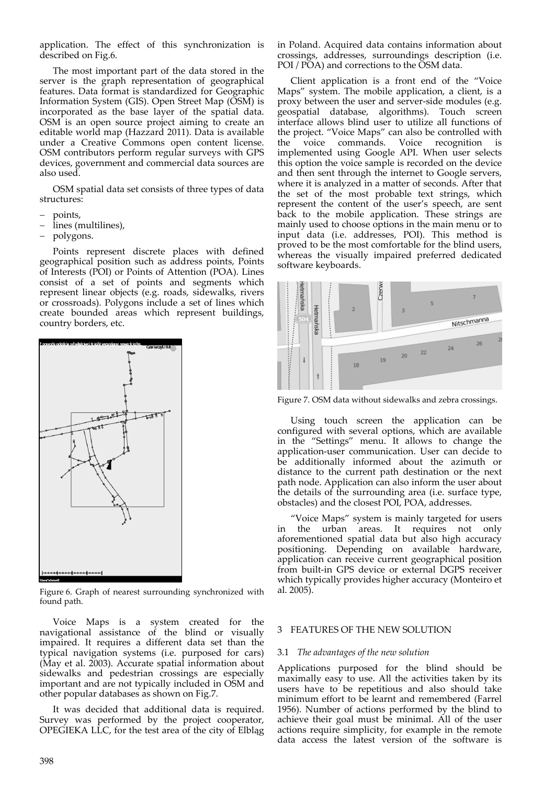application. The effect of this synchronization is described on Fig.6.

The most important part of the data stored in the server is the graph representation of geographical features. Data format is standardized for Geographic Information System (GIS). Open Street Map (OSM) is incorporated as the base layer of the spatial data. OSM is an open source project aiming to create an editable world map (Hazzard 2011). Data is available under a Creative Commons open content license. OSM contributors perform regular surveys with GPS devices, government and commercial data sources are also used.

OSM spatial data set consists of three types of data structures:

- points,
- lines (multilines),
- polygons.

Points represent discrete places with defined geographical position such as address points, Points of Interests (POI) or Points of Attention (POA). Lines consist of a set of points and segments which represent linear objects (e.g. roads, sidewalks, rivers or crossroads). Polygons include a set of lines which create bounded areas which represent buildings, country borders, etc.



Figure 6. Graph of nearest surrounding synchronized with found path.

Voice Maps is a system created for the navigational assistance of the blind or visually impaired. It requires a different data set than the typical navigation systems (i.e. purposed for cars) (May et al. 2003). Accurate spatial information about sidewalks and pedestrian crossings are especially important and are not typically included in OSM and other popular databases as shown on Fig.7.

It was decided that additional data is required. Survey was performed by the project cooperator, OPEGIEKA LLC, for the test area of the city of Elbląg

398

in Poland. Acquired data contains information about crossings, addresses, surroundings description (i.e. POI / POA) and corrections to the OSM data.

Client application is a front end of the "Voice Maps" system. The mobile application, a client, is a proxy between the user and server‐side modules (e.g. geospatial database, algorithms). Touch screen interface allows blind user to utilize all functions of the project. "Voice Maps" can also be controlled with the voice commands. Voice recognition is implemented using Google API. When user selects this option the voice sample is recorded on the device and then sent through the internet to Google servers, where it is analyzed in a matter of seconds. After that the set of the most probable text strings, which represent the content of the user's speech, are sent back to the mobile application. These strings are mainly used to choose options in the main menu or to input data (i.e. addresses, POI). This method is proved to be the most comfortable for the blind users, whereas the visually impaired preferred dedicated software keyboards.



Figure 7. OSM data without sidewalks and zebra crossings.

Using touch screen the application can be configured with several options, which are available in the "Settings" menu. It allows to change the application‐user communication. User can decide to be additionally informed about the azimuth or distance to the current path destination or the next path node. Application can also inform the user about the details of the surrounding area (i.e. surface type, obstacles) and the closest POI, POA, addresses.

"Voice Maps" system is mainly targeted for users in the urban areas. It requires not only aforementioned spatial data but also high accuracy positioning. Depending on available hardware, application can receive current geographical position from built‐in GPS device or external DGPS receiver which typically provides higher accuracy (Monteiro et al. 2005).

# 3 FEATURES OF THE NEW SOLUTION

# 3.1 *The advantages of the new solution*

Applications purposed for the blind should be maximally easy to use. All the activities taken by its users have to be repetitious and also should take minimum effort to be learnt and remembered (Farrel 1956). Number of actions performed by the blind to achieve their goal must be minimal. All of the user actions require simplicity, for example in the remote data access the latest version of the software is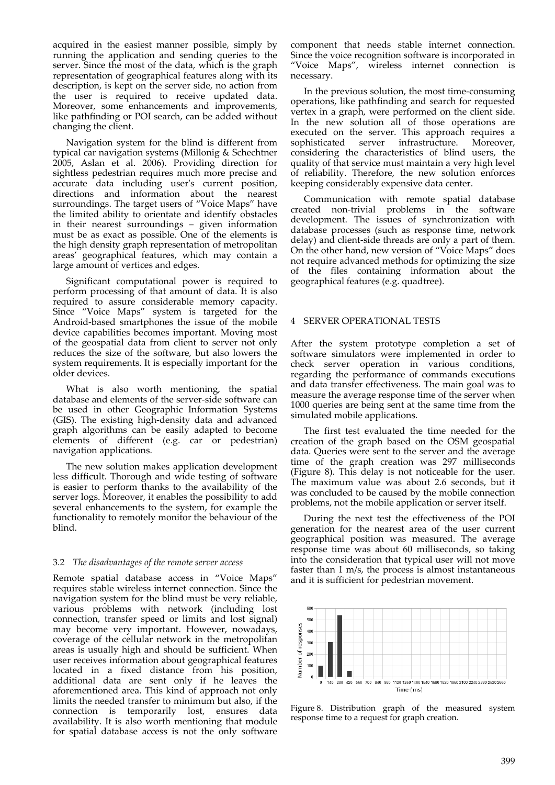acquired in the easiest manner possible, simply by running the application and sending queries to the server. Since the most of the data, which is the graph representation of geographical features along with its description, is kept on the server side, no action from the user is required to receive updated data. Moreover, some enhancements and improvements, like pathfinding or POI search, can be added without changing the client.

Navigation system for the blind is different from typical car navigation systems (Millonig & Schechtner 2005, Aslan et al. 2006). Providing direction for sightless pedestrian requires much more precise and accurate data including user's current position, directions and information about the nearest surroundings. The target users of "Voice Maps" have the limited ability to orientate and identify obstacles in their nearest surroundings – given information must be as exact as possible. One of the elements is the high density graph representation of metropolitan areas' geographical features, which may contain a large amount of vertices and edges.

Significant computational power is required to perform processing of that amount of data. It is also required to assure considerable memory capacity. Since "Voice Maps" system is targeted for the Android‐based smartphones the issue of the mobile device capabilities becomes important. Moving most of the geospatial data from client to server not only reduces the size of the software, but also lowers the system requirements. It is especially important for the older devices.

What is also worth mentioning, the spatial database and elements of the server‐side software can be used in other Geographic Information Systems (GIS). The existing high‐density data and advanced graph algorithms can be easily adapted to become elements of different (e.g. car or pedestrian) navigation applications.

The new solution makes application development less difficult. Thorough and wide testing of software is easier to perform thanks to the availability of the server logs. Moreover, it enables the possibility to add several enhancements to the system, for example the functionality to remotely monitor the behaviour of the blind.

# 3.2 *The disadvantages of the remote server access*

Remote spatial database access in "Voice Maps" requires stable wireless internet connection. Since the navigation system for the blind must be very reliable, various problems with network (including lost connection, transfer speed or limits and lost signal) may become very important. However, nowadays, coverage of the cellular network in the metropolitan areas is usually high and should be sufficient. When user receives information about geographical features located in a fixed distance from his position, additional data are sent only if he leaves the aforementioned area. This kind of approach not only limits the needed transfer to minimum but also, if the connection is temporarily lost, ensures data availability. It is also worth mentioning that module for spatial database access is not the only software

component that needs stable internet connection. Since the voice recognition software is incorporated in "Voice Maps", wireless internet connection is necessary.

In the previous solution, the most time‐consuming operations, like pathfinding and search for requested vertex in a graph, were performed on the client side. In the new solution all of those operations are executed on the server. This approach requires a sophisticated server infrastructure. Moreover, considering the characteristics of blind users, the quality of that service must maintain a very high level of reliability. Therefore, the new solution enforces keeping considerably expensive data center.

Communication with remote spatial database created non-trivial problems in the software development. The issues of synchronization with database processes (such as response time, network delay) and client‐side threads are only a part of them. On the other hand, new version of "Voice Maps" does not require advanced methods for optimizing the size of the files containing information about the geographical features (e.g. quadtree).

## 4 SERVER OPERATIONAL TESTS

After the system prototype completion a set of software simulators were implemented in order to check server operation in various conditions, regarding the performance of commands executions and data transfer effectiveness. The main goal was to measure the average response time of the server when 1000 queries are being sent at the same time from the simulated mobile applications.

The first test evaluated the time needed for the creation of the graph based on the OSM geospatial data. Queries were sent to the server and the average time of the graph creation was 297 milliseconds (Figure 8). This delay is not noticeable for the user. The maximum value was about 2.6 seconds, but it was concluded to be caused by the mobile connection problems, not the mobile application or server itself.

During the next test the effectiveness of the POI generation for the nearest area of the user current geographical position was measured. The average response time was about 60 milliseconds, so taking into the consideration that typical user will not move faster than 1 m/s, the process is almost instantaneous and it is sufficient for pedestrian movement.



Figure 8. Distribution graph of the measured system response time to a request for graph creation.